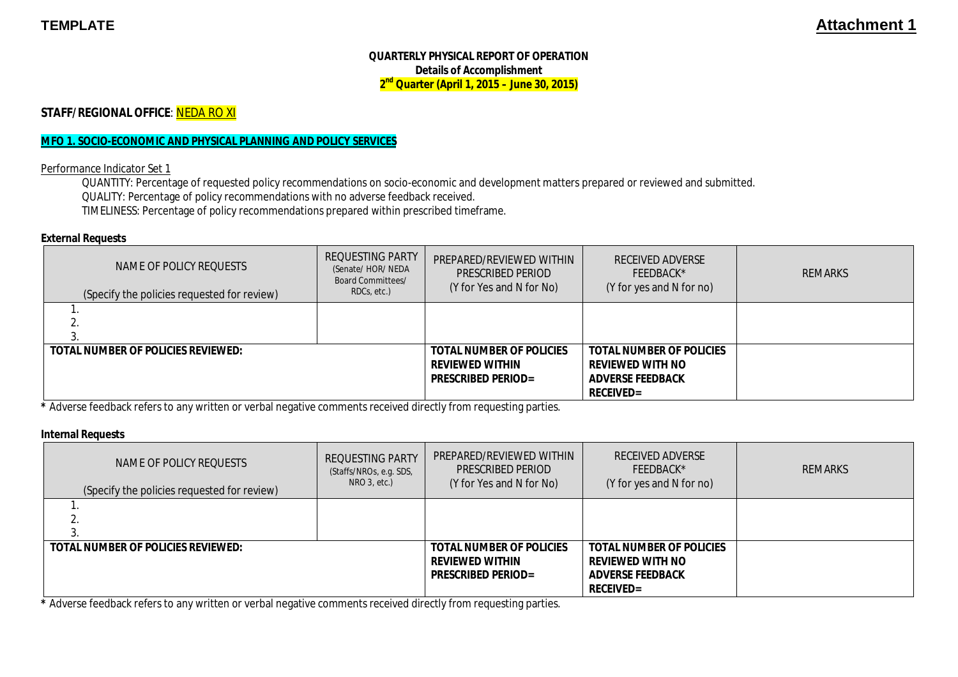### **QUARTERLY PHYSICAL REPORT OF OPERATION Details of Accomplishment 2 nd Quarter (April 1, 2015 – June 30, 2015)**

**STAFF/REGIONAL OFFICE: NEDA RO XI** 

#### **MFO 1. SOCIO-ECONOMIC AND PHYSICAL PLANNING AND POLICY SERVICES**

Performance Indicator Set 1

QUANTITY: Percentage of requested policy recommendations on socio-economic and development matters prepared or reviewed and submitted. QUALITY: Percentage of policy recommendations with no adverse feedback received. TIMELINESS: Percentage of policy recommendations prepared within prescribed timeframe.

#### **External Requests**

| NAME OF POLICY REOUESTS<br>(Specify the policies requested for review) | <b>REQUESTING PARTY</b><br>(Senate/ HOR/ NEDA<br><b>Board Committees/</b><br>RDCs, etc.) | PREPARED/REVIEWED WITHIN<br>PRESCRIBED PERIOD<br>(Y for Yes and N for No)              | <b>RECEIVED ADVERSE</b><br>FEEDBACK*<br>(Y for yes and N for no)                                          | <b>REMARKS</b> |
|------------------------------------------------------------------------|------------------------------------------------------------------------------------------|----------------------------------------------------------------------------------------|-----------------------------------------------------------------------------------------------------------|----------------|
|                                                                        |                                                                                          |                                                                                        |                                                                                                           |                |
| <b>TOTAL NUMBER OF POLICIES REVIEWED:</b>                              |                                                                                          | <b>TOTAL NUMBER OF POLICIES</b><br><b>REVIEWED WITHIN</b><br><b>PRESCRIBED PERIOD=</b> | <b>TOTAL NUMBER OF POLICIES</b><br><b>REVIEWED WITH NO</b><br><b>ADVERSE FEEDBACK</b><br><b>RECEIVED=</b> |                |

**\*** Adverse feedback refers to any written or verbal negative comments received directly from requesting parties.

#### **Internal Requests**

| NAME OF POLICY REOUESTS<br>(Specify the policies requested for review) | <b>REQUESTING PARTY</b><br>(Staffs/NROs, e.g. SDS,<br>$NRO$ 3, etc.) | PREPARED/REVIEWED WITHIN<br><b>PRESCRIBED PERIOD</b><br>(Y for Yes and N for No)       | <b>RECEIVED ADVERSE</b><br>FEEDBACK*<br>(Y for yes and N for no)                                          | <b>REMARKS</b> |
|------------------------------------------------------------------------|----------------------------------------------------------------------|----------------------------------------------------------------------------------------|-----------------------------------------------------------------------------------------------------------|----------------|
|                                                                        |                                                                      |                                                                                        |                                                                                                           |                |
| <b>TOTAL NUMBER OF POLICIES REVIEWED:</b>                              |                                                                      | <b>TOTAL NUMBER OF POLICIES</b><br><b>REVIEWED WITHIN</b><br><b>PRESCRIBED PERIOD=</b> | <b>TOTAL NUMBER OF POLICIES</b><br><b>REVIEWED WITH NO</b><br><b>ADVERSE FEEDBACK</b><br><b>RECEIVED=</b> |                |

**\*** Adverse feedback refers to any written or verbal negative comments received directly from requesting parties.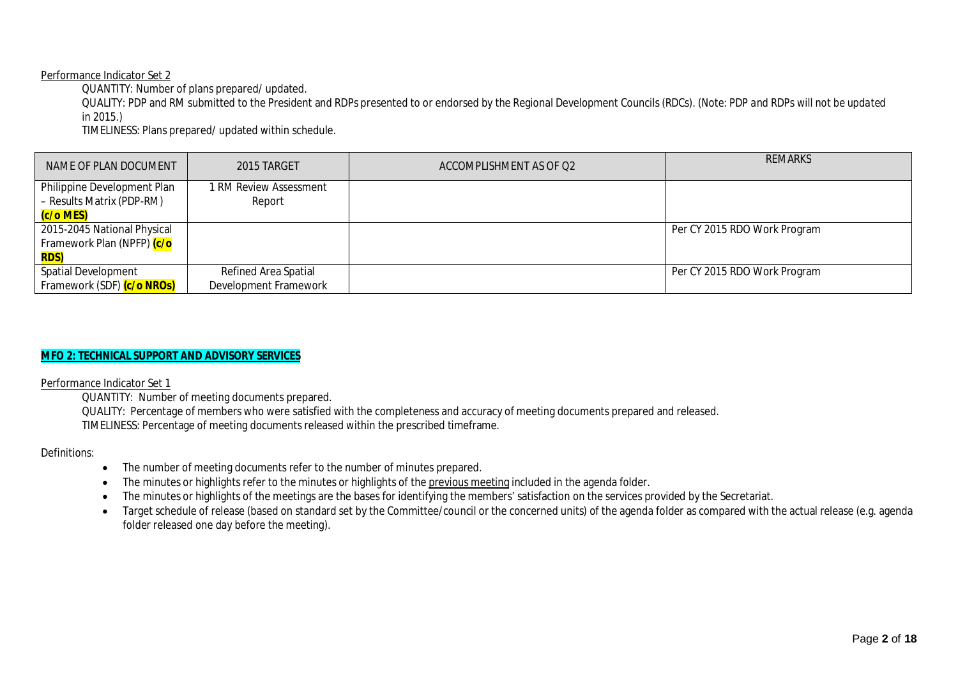#### Performance Indicator Set 2

QUANTITY: Number of plans prepared/ updated.

QUALITY: PDP and RM submitted to the President and RDPs presented to or endorsed by the Regional Development Councils (RDCs). (*Note: PDP and RDPs will not be updated in 2015.)*

TIMELINESS: Plans prepared/ updated within schedule.

| NAME OF PLAN DOCUMENT                                                  | 2015 TARGET                                   | ACCOMPLISHMENT AS OF Q2 | <b>REMARKS</b>               |
|------------------------------------------------------------------------|-----------------------------------------------|-------------------------|------------------------------|
| Philippine Development Plan<br>- Results Matrix (PDP-RM)<br>(c/o MES)  | 1 RM Review Assessment<br>Report              |                         |                              |
| 2015-2045 National Physical<br>Framework Plan (NPFP) <mark>(c/o</mark> |                                               |                         | Per CY 2015 RDO Work Program |
| <b>RDS)</b>                                                            |                                               |                         |                              |
| <b>Spatial Development</b><br>Framework (SDF) (c/o NROs)               | Refined Area Spatial<br>Development Framework |                         | Per CY 2015 RDO Work Program |

### **MFO 2: TECHNICAL SUPPORT AND ADVISORY SERVICES**

Performance Indicator Set 1

QUANTITY: Number of meeting documents prepared. QUALITY: Percentage of members who were satisfied with the completeness and accuracy of meeting documents prepared and released. TIMELINESS: Percentage of meeting documents released within the prescribed timeframe.

#### Definitions:

- The number of meeting documents refer to the number of minutes prepared.
- The minutes or highlights refer to the minutes or highlights of the previous meeting included in the agenda folder.
- The minutes or highlights of the meetings are the bases for identifying the members' satisfaction on the services provided by the Secretariat.
- Target schedule of release (based on standard set by the Committee/council or the concerned units) of the agenda folder as compared with the actual release (e.g. agenda folder released one day before the meeting).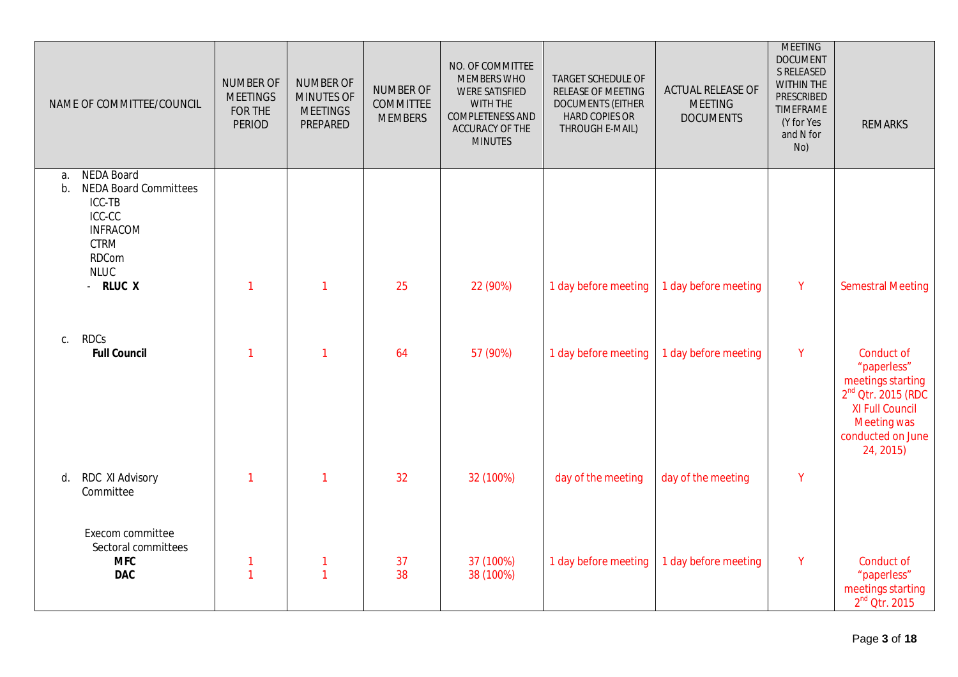| NAME OF COMMITTEE/COUNCIL                                                                                                                   | <b>NUMBER OF</b><br><b>MEETINGS</b><br>FOR THE<br><b>PERIOD</b> | <b>NUMBER OF</b><br><b>MINUTES OF</b><br><b>MEETINGS</b><br>PREPARED | NUMBER OF<br><b>COMMITTEE</b><br><b>MEMBERS</b> | NO. OF COMMITTEE<br><b>MEMBERS WHO</b><br><b>WERE SATISFIED</b><br>WITH THE<br>COMPLETENESS AND<br>ACCURACY OF THE<br><b>MINUTES</b> | TARGET SCHEDULE OF<br>RELEASE OF MEETING<br><b>DOCUMENTS (EITHER</b><br><b>HARD COPIES OR</b><br>THROUGH E-MAIL) | ACTUAL RELEASE OF<br><b>MEETING</b><br><b>DOCUMENTS</b> | <b>MEETING</b><br><b>DOCUMENT</b><br>S RELEASED<br><b>WITHIN THE</b><br><b>PRESCRIBED</b><br><b>TIMEFRAME</b><br>(Y for Yes<br>and N for<br>No) | <b>REMARKS</b>                                                                                                                                           |
|---------------------------------------------------------------------------------------------------------------------------------------------|-----------------------------------------------------------------|----------------------------------------------------------------------|-------------------------------------------------|--------------------------------------------------------------------------------------------------------------------------------------|------------------------------------------------------------------------------------------------------------------|---------------------------------------------------------|-------------------------------------------------------------------------------------------------------------------------------------------------|----------------------------------------------------------------------------------------------------------------------------------------------------------|
| NEDA Board<br>a.<br><b>NEDA Board Committees</b><br>b.<br>ICC-TB<br>ICC-CC<br><b>INFRACOM</b><br><b>CTRM</b><br><b>RDCom</b><br><b>NLUC</b> |                                                                 |                                                                      |                                                 |                                                                                                                                      |                                                                                                                  |                                                         |                                                                                                                                                 |                                                                                                                                                          |
| - RLUC X                                                                                                                                    | $\mathbf{1}$                                                    | $\mathbf{1}$                                                         | 25                                              | 22 (90%)                                                                                                                             | 1 day before meeting                                                                                             | 1 day before meeting                                    | $\mathsf{Y}$                                                                                                                                    | <b>Semestral Meeting</b>                                                                                                                                 |
| c. RDCs<br><b>Full Council</b>                                                                                                              | $\mathbf 1$                                                     | 1                                                                    | 64                                              | 57 (90%)                                                                                                                             | 1 day before meeting                                                                                             | 1 day before meeting                                    | Y                                                                                                                                               | Conduct of<br>"paperless"<br>meetings starting<br>$2nd$ Otr. 2015 (RDC<br><b>XI Full Council</b><br><b>Meeting was</b><br>conducted on June<br>24, 2015) |
| RDC XI Advisory<br>d.<br>Committee                                                                                                          | $\mathbf{1}$                                                    | $\mathbf{1}$                                                         | 32                                              | 32 (100%)                                                                                                                            | day of the meeting                                                                                               | day of the meeting                                      | $\mathsf{Y}$                                                                                                                                    |                                                                                                                                                          |
| Execom committee<br>Sectoral committees<br><b>MFC</b><br><b>DAC</b>                                                                         | $\mathbf{1}$<br>$\mathbf{1}$                                    | 1<br>$\mathbf{1}$                                                    | 37<br>38                                        | 37 (100%)<br>38 (100%)                                                                                                               | 1 day before meeting                                                                                             | 1 day before meeting                                    | Y                                                                                                                                               | Conduct of<br>"paperless"<br>meetings starting<br>$2nd$ Otr. 2015                                                                                        |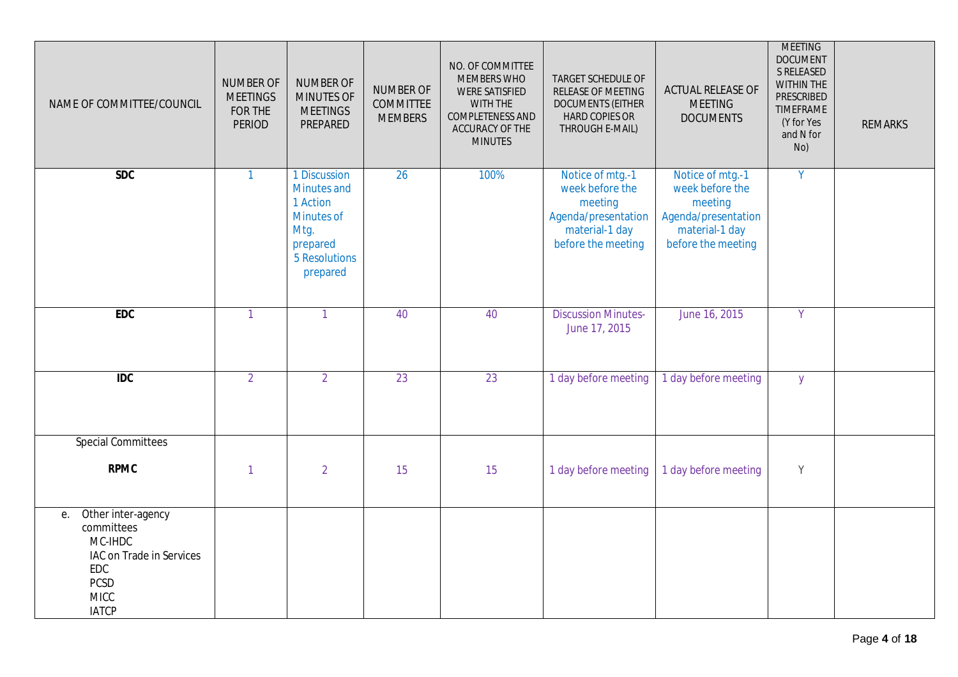| NAME OF COMMITTEE/COUNCIL                                                                                                          | <b>NUMBER OF</b><br><b>MEETINGS</b><br>FOR THE<br><b>PERIOD</b> | NUMBER OF<br>MINUTES OF<br><b>MEETINGS</b><br>PREPARED                                                        | <b>NUMBER OF</b><br><b>COMMITTEE</b><br><b>MEMBERS</b> | NO. OF COMMITTEE<br>MEMBERS WHO<br><b>WERE SATISFIED</b><br>WITH THE<br>COMPLETENESS AND<br>ACCURACY OF THE<br><b>MINUTES</b> | TARGET SCHEDULE OF<br>RELEASE OF MEETING<br><b>DOCUMENTS (EITHER</b><br><b>HARD COPIES OR</b><br>THROUGH E-MAIL) | <b>ACTUAL RELEASE OF</b><br><b>MEETING</b><br><b>DOCUMENTS</b>                                                | <b>MEETING</b><br><b>DOCUMENT</b><br>S RELEASED<br>WITHIN THE<br>PRESCRIBED<br><b>TIMEFRAME</b><br>(Y for Yes<br>and N for<br>No) | <b>REMARKS</b> |
|------------------------------------------------------------------------------------------------------------------------------------|-----------------------------------------------------------------|---------------------------------------------------------------------------------------------------------------|--------------------------------------------------------|-------------------------------------------------------------------------------------------------------------------------------|------------------------------------------------------------------------------------------------------------------|---------------------------------------------------------------------------------------------------------------|-----------------------------------------------------------------------------------------------------------------------------------|----------------|
| SDC                                                                                                                                | $\mathbf{1}$                                                    | 1 Discussion<br><b>Minutes and</b><br>1 Action<br>Minutes of<br>Mtg.<br>prepared<br>5 Resolutions<br>prepared | 26                                                     | 100%                                                                                                                          | Notice of mtg.-1<br>week before the<br>meeting<br>Agenda/presentation<br>material-1 day<br>before the meeting    | Notice of mtg.-1<br>week before the<br>meeting<br>Agenda/presentation<br>material-1 day<br>before the meeting | $\overline{Y}$                                                                                                                    |                |
| <b>EDC</b>                                                                                                                         | $\mathbf{1}$                                                    | $\mathbf{1}$                                                                                                  | 40                                                     | 40                                                                                                                            | <b>Discussion Minutes-</b><br>June 17, 2015                                                                      | June 16, 2015                                                                                                 | Y                                                                                                                                 |                |
| $\overline{IDC}$                                                                                                                   | $\overline{2}$                                                  | $\overline{2}$                                                                                                | 23                                                     | 23                                                                                                                            | 1 day before meeting                                                                                             | 1 day before meeting                                                                                          | $\mathsf{y}$                                                                                                                      |                |
| <b>Special Committees</b>                                                                                                          |                                                                 |                                                                                                               |                                                        |                                                                                                                               |                                                                                                                  |                                                                                                               |                                                                                                                                   |                |
| <b>RPMC</b>                                                                                                                        | $\mathbf{1}$                                                    | $\overline{2}$                                                                                                | 15                                                     | 15                                                                                                                            | 1 day before meeting                                                                                             | 1 day before meeting                                                                                          | Y                                                                                                                                 |                |
| Other inter-agency<br>е.<br>committees<br>MC-IHDC<br>IAC on Trade in Services<br>EDC<br><b>PCSD</b><br><b>MICC</b><br><b>IATCP</b> |                                                                 |                                                                                                               |                                                        |                                                                                                                               |                                                                                                                  |                                                                                                               |                                                                                                                                   |                |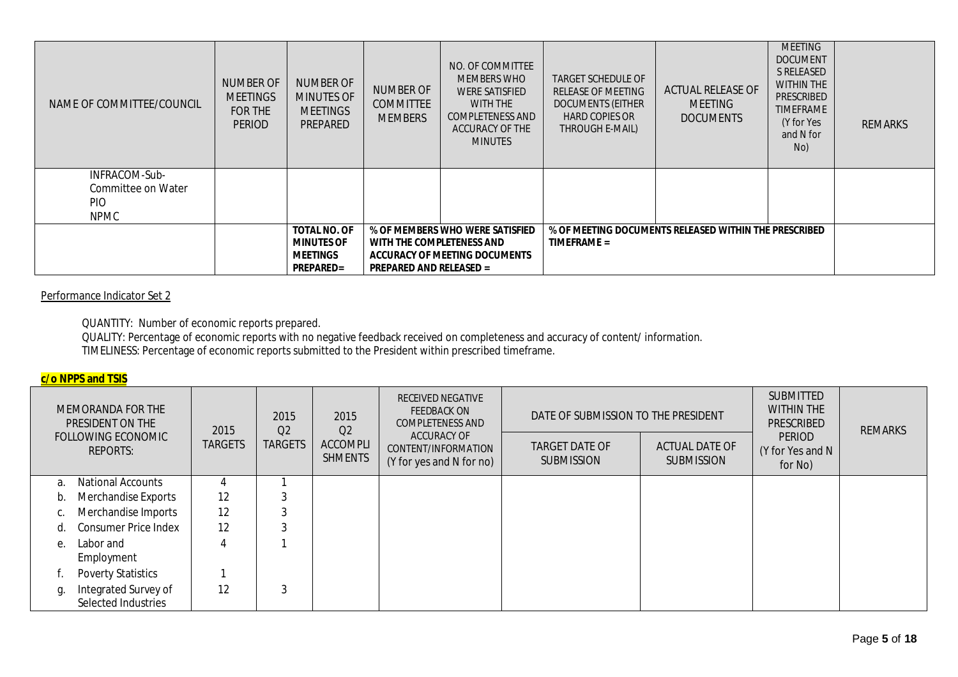| NAME OF COMMITTEE/COUNCIL                         | <b>NUMBER OF</b><br><b>MEETINGS</b><br>FOR THE<br><b>PERIOD</b> | <b>NUMBER OF</b><br><b>MINUTES OF</b><br><b>MEETINGS</b><br>PREPARED            | <b>NUMBER OF</b><br><b>COMMITTEE</b><br><b>MEMBERS</b>      | NO. OF COMMITTEE<br><b>MEMBERS WHO</b><br><b>WERE SATISFIED</b><br>WITH THE<br><b>COMPLETENESS AND</b><br>ACCURACY OF THE<br><b>MINUTES</b> | <b>TARGET SCHEDULE OF</b><br>RELEASE OF MEETING<br><b>DOCUMENTS (EITHER</b><br><b>HARD COPIES OR</b><br>THROUGH E-MAIL) | <b>ACTUAL RELEASE OF</b><br><b>MEETING</b><br><b>DOCUMENTS</b> | <b>MEETING</b><br><b>DOCUMENT</b><br><b>S RELEASED</b><br><b>WITHIN THE</b><br>PRESCRIBED<br><b>TIMEFRAME</b><br>(Y for Yes<br>and N for<br>No) | <b>REMARKS</b> |
|---------------------------------------------------|-----------------------------------------------------------------|---------------------------------------------------------------------------------|-------------------------------------------------------------|---------------------------------------------------------------------------------------------------------------------------------------------|-------------------------------------------------------------------------------------------------------------------------|----------------------------------------------------------------|-------------------------------------------------------------------------------------------------------------------------------------------------|----------------|
| INFRACOM-Sub-<br>Committee on Water<br><b>PIO</b> |                                                                 |                                                                                 |                                                             |                                                                                                                                             |                                                                                                                         |                                                                |                                                                                                                                                 |                |
| <b>NPMC</b>                                       |                                                                 |                                                                                 |                                                             |                                                                                                                                             |                                                                                                                         |                                                                |                                                                                                                                                 |                |
|                                                   |                                                                 | <b>TOTAL NO. OF</b><br><b>MINUTES OF</b><br><b>MEETINGS</b><br><b>PREPARED=</b> | WITH THE COMPLETENESS AND<br><b>PREPARED AND RELEASED =</b> | % OF MEMBERS WHO WERE SATISFIED<br>ACCURACY OF MEETING DOCUMENTS                                                                            | TIMEFRAME =                                                                                                             | % OF MEETING DOCUMENTS RELEASED WITHIN THE PRESCRIBED          |                                                                                                                                                 |                |

### Performance Indicator Set 2

QUANTITY: Number of economic reports prepared.

QUALITY: Percentage of economic reports with no negative feedback received on completeness and accuracy of content/ information. TIMELINESS: Percentage of economic reports submitted to the President within prescribed timeframe.

#### **c/o NPPS and TSIS**

|             | MEMORANDA FOR THE<br>PRESIDENT ON THE       | 2015           | 2015<br>Q <sub>2</sub> | 2015<br>Q <sub>2</sub>            | <b>RECEIVED NEGATIVE</b><br><b>FEEDBACK ON</b><br>DATE OF SUBMISSION TO THE PRESIDENT<br><b>COMPLETENESS AND</b> |                                            | <b>SUBMITTED</b><br><b>WITHIN THE</b><br>PRESCRIBED |                                              | <b>REMARKS</b> |
|-------------|---------------------------------------------|----------------|------------------------|-----------------------------------|------------------------------------------------------------------------------------------------------------------|--------------------------------------------|-----------------------------------------------------|----------------------------------------------|----------------|
|             | FOLLOWING ECONOMIC<br><b>REPORTS:</b>       | <b>TARGETS</b> | <b>TARGETS</b>         | <b>ACCOMPLI</b><br><b>SHMENTS</b> | <b>ACCURACY OF</b><br>CONTENT/INFORMATION<br>(Y for yes and N for no)                                            | <b>TARGET DATE OF</b><br><b>SUBMISSION</b> | <b>ACTUAL DATE OF</b><br><b>SUBMISSION</b>          | <b>PERIOD</b><br>(Y for Yes and N<br>for No) |                |
| a.          | <b>National Accounts</b>                    |                |                        |                                   |                                                                                                                  |                                            |                                                     |                                              |                |
| b.          | Merchandise Exports                         | 12             | 3                      |                                   |                                                                                                                  |                                            |                                                     |                                              |                |
|             | Merchandise Imports                         | 12             | 3                      |                                   |                                                                                                                  |                                            |                                                     |                                              |                |
| d.          | <b>Consumer Price Index</b>                 | 12             | 3                      |                                   |                                                                                                                  |                                            |                                                     |                                              |                |
| $e_{\cdot}$ | Labor and<br>Employment                     | 4              |                        |                                   |                                                                                                                  |                                            |                                                     |                                              |                |
|             | <b>Poverty Statistics</b>                   |                |                        |                                   |                                                                                                                  |                                            |                                                     |                                              |                |
| q.          | Integrated Survey of<br>Selected Industries | 12             | 3                      |                                   |                                                                                                                  |                                            |                                                     |                                              |                |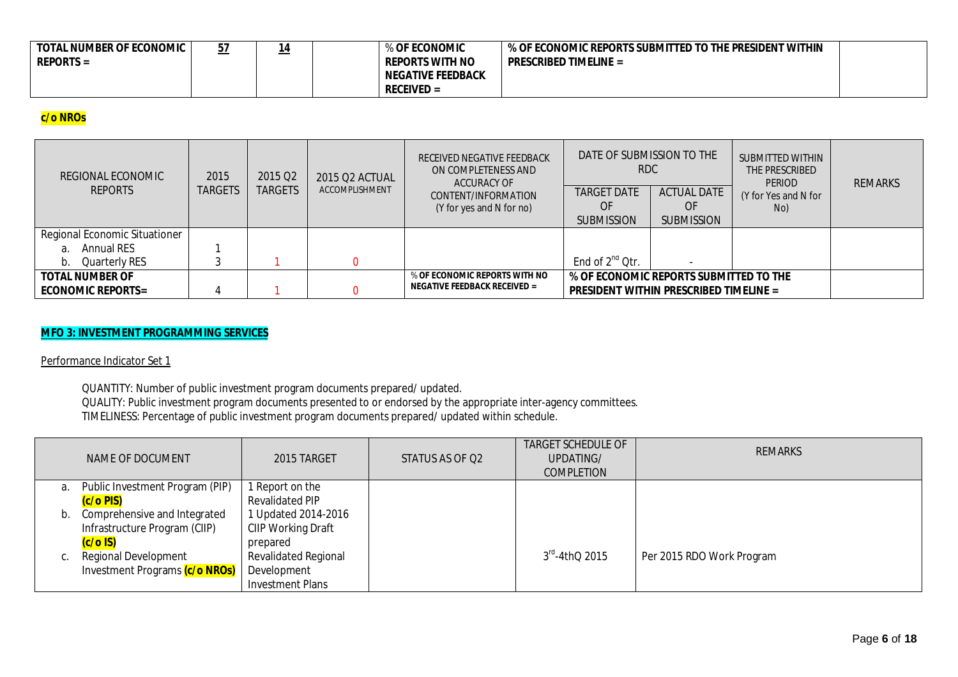| <b>TOTAL NUMBER OF ECONOMIC</b><br>$REPORTS =$ | . J J<br>____ | ____ | % OF ECONOMIC<br><b>REPORTS WITH NO</b><br><b>NEGATIVE FEEDBACK</b> | We Of Economic reports submitted to the president within (<br><b>PRESCRIBED TIMELINE =</b> |  |
|------------------------------------------------|---------------|------|---------------------------------------------------------------------|--------------------------------------------------------------------------------------------|--|
|                                                |               |      | $RECEIVED =$                                                        |                                                                                            |  |

## **c/o NROs**

| REGIONAL ECONOMIC<br><b>REPORTS</b>                | 2015<br>TARGETS | 2015 Q <sub>2</sub><br><b>TARGETS</b> | 2015 Q2 ACTUAL<br>ACCOMPLISHMENT | RECEIVED NEGATIVE FEEDBACK<br>ON COMPLETENESS AND<br>ACCURACY OF<br>CONTENT/INFORMATION<br>(Y for yes and N for no) | DATE OF SUBMISSION TO THE<br>RDC.<br><b>TARGET DATE</b><br>OF<br><b>SUBMISSION</b> | <b>ACTUAL DATE</b><br>OF<br><b>SUBMISSION</b>                                           | <b>SUBMITTED WITHIN</b><br>THE PRESCRIBED<br><b>PERIOD</b><br>(Y for Yes and N for<br>No) | <b>REMARKS</b> |
|----------------------------------------------------|-----------------|---------------------------------------|----------------------------------|---------------------------------------------------------------------------------------------------------------------|------------------------------------------------------------------------------------|-----------------------------------------------------------------------------------------|-------------------------------------------------------------------------------------------|----------------|
| Regional Economic Situationer<br>Annual RES<br>а.  |                 |                                       |                                  |                                                                                                                     |                                                                                    |                                                                                         |                                                                                           |                |
| b. Quarterly RES                                   |                 |                                       |                                  |                                                                                                                     | End of 2 <sup>nd</sup> Qtr.                                                        |                                                                                         |                                                                                           |                |
| <b>TOTAL NUMBER OF</b><br><b>ECONOMIC REPORTS=</b> |                 |                                       |                                  | % OF ECONOMIC REPORTS WITH NO<br><b>NEGATIVE FEEDBACK RECEIVED =</b>                                                |                                                                                    | % OF ECONOMIC REPORTS SUBMITTED TO THE<br><b>PRESIDENT WITHIN PRESCRIBED TIMELINE =</b> |                                                                                           |                |

### **MFO 3: INVESTMENT PROGRAMMING SERVICES**

Performance Indicator Set 1

QUANTITY: Number of public investment program documents prepared/ updated. QUALITY: Public investment program documents presented to or endorsed by the appropriate inter-agency committees. TIMELINESS: Percentage of public investment program documents prepared/ updated within schedule.

|    | NAME OF DOCUMENT                | 2015 TARGET                 | STATUS AS OF Q2 | <b>TARGET SCHEDULE OF</b><br>UPDATING/<br><b>COMPLETION</b> | <b>REMARKS</b>            |
|----|---------------------------------|-----------------------------|-----------------|-------------------------------------------------------------|---------------------------|
| a. | Public Investment Program (PIP) | 1 Report on the             |                 |                                                             |                           |
|    | (c/o PIS)                       | <b>Revalidated PIP</b>      |                 |                                                             |                           |
| b. | Comprehensive and Integrated    | Updated 2014-2016           |                 |                                                             |                           |
|    | Infrastructure Program (CIIP)   | CIIP Working Draft          |                 |                                                             |                           |
|    | $(c/o$ IS)                      | prepared                    |                 |                                                             |                           |
|    | <b>Regional Development</b>     | <b>Revalidated Regional</b> |                 | $3^{\text{rd}}$ -4thQ 2015                                  | Per 2015 RDO Work Program |
|    | Investment Programs (c/o NROs)  | Development                 |                 |                                                             |                           |
|    |                                 | <b>Investment Plans</b>     |                 |                                                             |                           |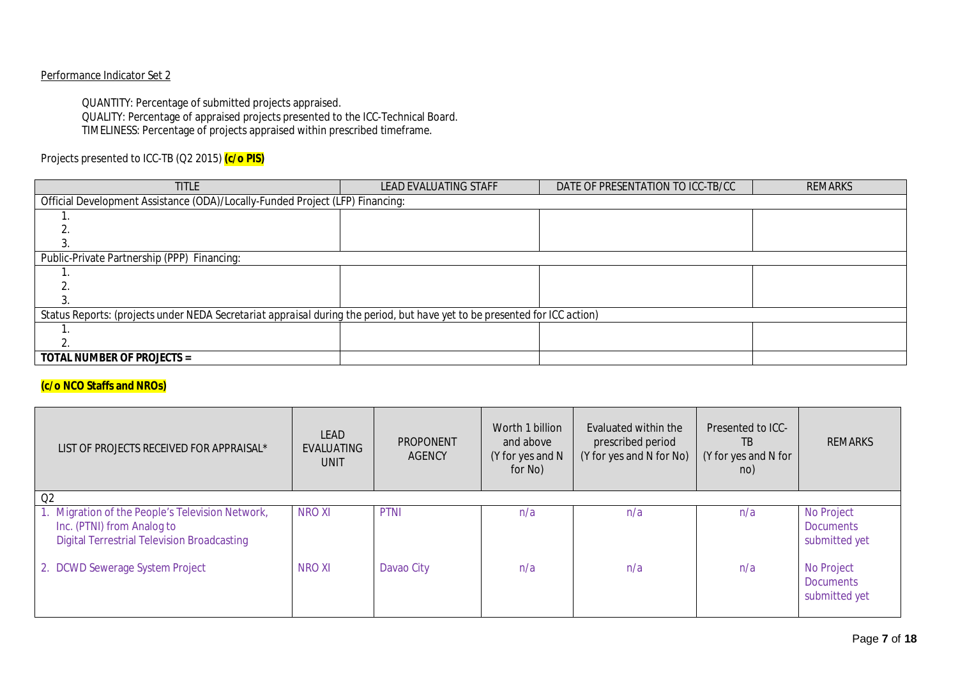### Performance Indicator Set 2

QUANTITY: Percentage of submitted projects appraised.

QUALITY: Percentage of appraised projects presented to the ICC-Technical Board. TIMELINESS: Percentage of projects appraised within prescribed timeframe.

## Projects presented to ICC-TB (Q2 2015) **(c/o PIS)**

| <b>TITLE</b>                                                                                                               | <b>LEAD EVALUATING STAFF</b> | DATE OF PRESENTATION TO ICC-TB/CC | REMARKS |  |  |  |  |  |  |  |
|----------------------------------------------------------------------------------------------------------------------------|------------------------------|-----------------------------------|---------|--|--|--|--|--|--|--|
| Official Development Assistance (ODA)/Locally-Funded Project (LFP) Financing:                                              |                              |                                   |         |  |  |  |  |  |  |  |
|                                                                                                                            |                              |                                   |         |  |  |  |  |  |  |  |
|                                                                                                                            |                              |                                   |         |  |  |  |  |  |  |  |
|                                                                                                                            |                              |                                   |         |  |  |  |  |  |  |  |
| Public-Private Partnership (PPP) Financing:                                                                                |                              |                                   |         |  |  |  |  |  |  |  |
|                                                                                                                            |                              |                                   |         |  |  |  |  |  |  |  |
|                                                                                                                            |                              |                                   |         |  |  |  |  |  |  |  |
|                                                                                                                            |                              |                                   |         |  |  |  |  |  |  |  |
| Status Reports: (projects under NEDA Secretariat appraisal during the period, but have yet to be presented for ICC action) |                              |                                   |         |  |  |  |  |  |  |  |
|                                                                                                                            |                              |                                   |         |  |  |  |  |  |  |  |
|                                                                                                                            |                              |                                   |         |  |  |  |  |  |  |  |
| <b>TOTAL NUMBER OF PROJECTS =</b>                                                                                          |                              |                                   |         |  |  |  |  |  |  |  |

## **(c/o NCO Staffs and NROs)**

| LIST OF PROJECTS RECEIVED FOR APPRAISAL*                                                                                             | LEAD<br>EVALUATING<br><b>UNIT</b> | <b>PROPONENT</b><br><b>AGENCY</b> | Worth 1 billion<br>and above<br>(Y for yes and N<br>for No) | Evaluated within the<br>prescribed period<br>(Y for yes and N for No) | Presented to ICC-<br>TB.<br>(Y for yes and N for<br>no) | <b>REMARKS</b>                                  |
|--------------------------------------------------------------------------------------------------------------------------------------|-----------------------------------|-----------------------------------|-------------------------------------------------------------|-----------------------------------------------------------------------|---------------------------------------------------------|-------------------------------------------------|
| Q2                                                                                                                                   |                                   |                                   |                                                             |                                                                       |                                                         |                                                 |
| 1. Migration of the People's Television Network,<br>Inc. (PTNI) from Analog to<br><b>Digital Terrestrial Television Broadcasting</b> | <b>NRO XI</b>                     | <b>PTNI</b>                       | n/a                                                         | n/a                                                                   | n/a                                                     | No Project<br><b>Documents</b><br>submitted yet |
| 2. DCWD Sewerage System Project                                                                                                      | <b>NROXI</b>                      | Davao City                        | n/a                                                         | n/a                                                                   | n/a                                                     | No Project<br><b>Documents</b><br>submitted yet |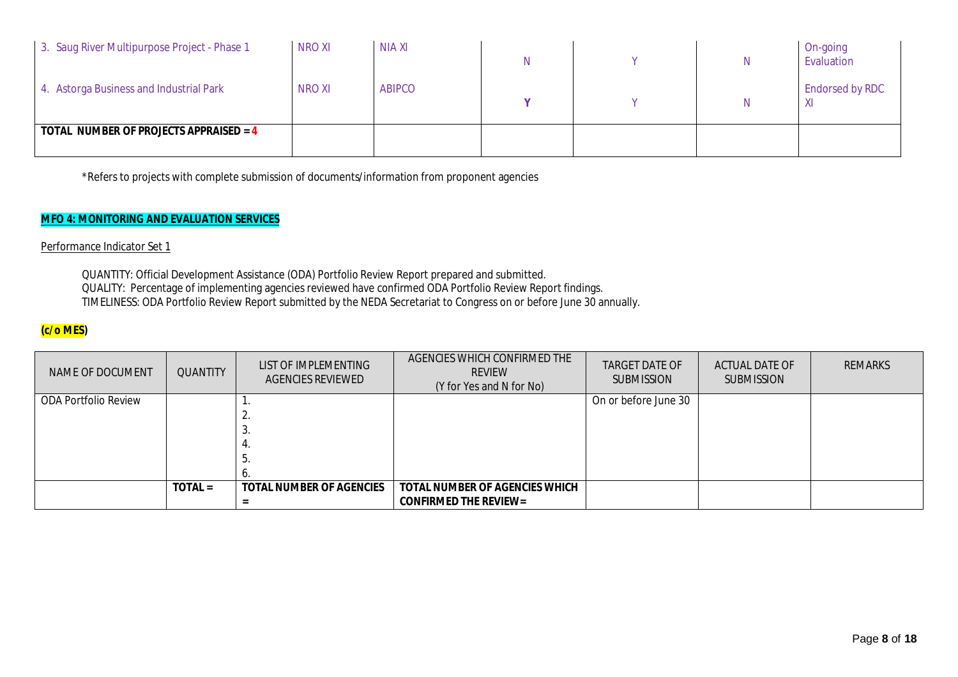| 3. Saug River Multipurpose Project - Phase 1  | <b>NRO XI</b> | <b>NIA XI</b> |  | N | On-going<br>Evaluation |
|-----------------------------------------------|---------------|---------------|--|---|------------------------|
| 4. Astorga Business and Industrial Park       | <b>NROXI</b>  | <b>ABIPCO</b> |  | N | <b>Endorsed by RDC</b> |
| <b>TOTAL NUMBER OF PROJECTS APPRAISED = 4</b> |               |               |  |   |                        |

\*Refers to projects with complete submission of documents/information from proponent agencies

### **MFO 4: MONITORING AND EVALUATION SERVICES**

Performance Indicator Set 1

QUANTITY: Official Development Assistance (ODA) Portfolio Review Report prepared and submitted. QUALITY: Percentage of implementing agencies reviewed have confirmed ODA Portfolio Review Report findings. TIMELINESS: ODA Portfolio Review Report submitted by the NEDA Secretariat to Congress on or before June 30 annually.

### **(c/o MES)**

| NAME OF DOCUMENT     | <b>QUANTITY</b> | LIST OF IMPLEMENTING<br>AGENCIES REVIEWED | AGENCIES WHICH CONFIRMED THE<br><b>REVIEW</b><br>(Y for Yes and N for No) | <b>TARGET DATE OF</b><br><b>SUBMISSION</b> | <b>ACTUAL DATE OF</b><br><b>SUBMISSION</b> | <b>REMARKS</b> |
|----------------------|-----------------|-------------------------------------------|---------------------------------------------------------------------------|--------------------------------------------|--------------------------------------------|----------------|
| ODA Portfolio Review |                 |                                           |                                                                           | On or before June 30                       |                                            |                |
|                      |                 |                                           |                                                                           |                                            |                                            |                |
|                      |                 | . ب                                       |                                                                           |                                            |                                            |                |
|                      |                 |                                           |                                                                           |                                            |                                            |                |
|                      |                 | . ن                                       |                                                                           |                                            |                                            |                |
|                      |                 |                                           |                                                                           |                                            |                                            |                |
|                      | $TOTAL =$       | <b>TOTAL NUMBER OF AGENCIES</b>           | <b>TOTAL NUMBER OF AGENCIES WHICH</b>                                     |                                            |                                            |                |
|                      |                 |                                           | <b>CONFIRMED THE REVIEW=</b>                                              |                                            |                                            |                |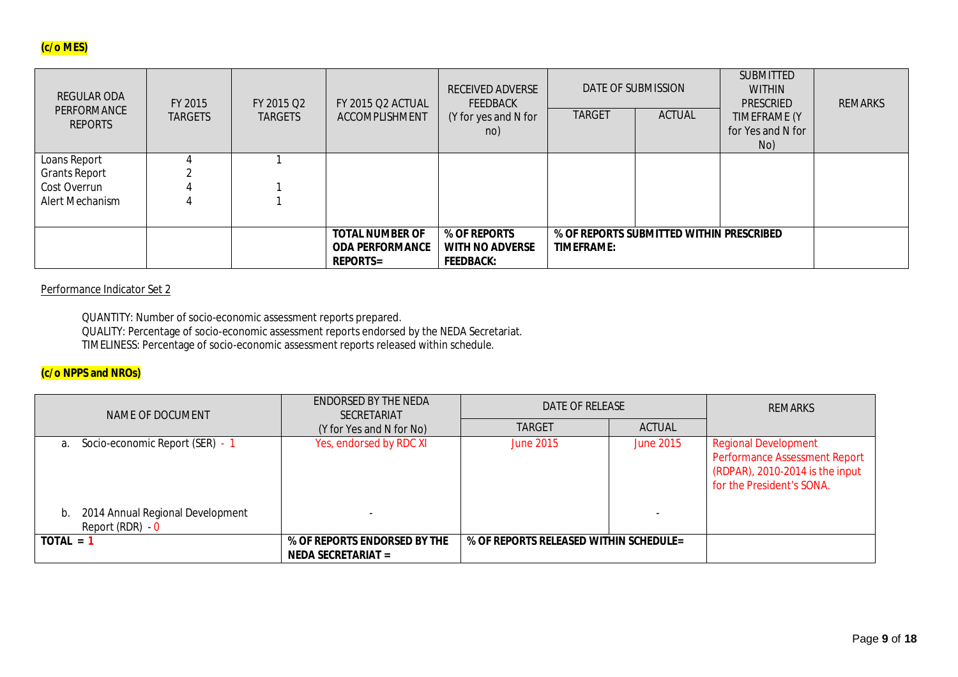## **(c/o MES)**

| <b>REGULAR ODA</b><br>PERFORMANCE<br><b>REPORTS</b> | FY 2015<br><b>TARGETS</b> | FY 2015 O2<br><b>TARGETS</b> | <b>FY 2015 Q2 ACTUAL</b><br>ACCOMPLISHMENT                          | <b>RECEIVED ADVERSE</b><br><b>FEEDBACK</b><br>(Y for yes and N for<br>no) | <b>TARGET</b>     | DATE OF SUBMISSION<br><b>ACTUAL</b>      | <b>SUBMITTED</b><br><b>WITHIN</b><br>PRESCRIED<br>TIMEFRAME (Y<br>for Yes and N for<br>No) | <b>REMARKS</b> |
|-----------------------------------------------------|---------------------------|------------------------------|---------------------------------------------------------------------|---------------------------------------------------------------------------|-------------------|------------------------------------------|--------------------------------------------------------------------------------------------|----------------|
| Loans Report                                        |                           |                              |                                                                     |                                                                           |                   |                                          |                                                                                            |                |
| <b>Grants Report</b>                                |                           |                              |                                                                     |                                                                           |                   |                                          |                                                                                            |                |
| Cost Overrun                                        |                           |                              |                                                                     |                                                                           |                   |                                          |                                                                                            |                |
| Alert Mechanism                                     |                           |                              |                                                                     |                                                                           |                   |                                          |                                                                                            |                |
|                                                     |                           |                              |                                                                     |                                                                           |                   |                                          |                                                                                            |                |
|                                                     |                           |                              | <b>TOTAL NUMBER OF</b><br><b>ODA PERFORMANCE</b><br><b>REPORTS=</b> | % OF REPORTS<br><b>WITH NO ADVERSE</b><br><b>FEEDBACK:</b>                | <b>TIMEFRAME:</b> | % OF REPORTS SUBMITTED WITHIN PRESCRIBED |                                                                                            |                |

## Performance Indicator Set 2

QUANTITY: Number of socio-economic assessment reports prepared. QUALITY: Percentage of socio-economic assessment reports endorsed by the NEDA Secretariat. TIMELINESS: Percentage of socio-economic assessment reports released within schedule.

### **(c/o NPPS and NROs)**

| NAME OF DOCUMENT                                           | ENDORSED BY THE NEDA<br><b>SECRETARIAT</b>                | DATE OF RELEASE                        | <b>REMARKS</b> |                                                                                                                                     |
|------------------------------------------------------------|-----------------------------------------------------------|----------------------------------------|----------------|-------------------------------------------------------------------------------------------------------------------------------------|
|                                                            | (Y for Yes and N for No)                                  | <b>TARGET</b>                          | <b>ACTUAL</b>  |                                                                                                                                     |
| Socio-economic Report (SER) - 1<br>a.                      | Yes, endorsed by RDC XI                                   | June 2015                              | June 2015      | <b>Regional Development</b><br><b>Performance Assessment Report</b><br>(RDPAR), 2010-2014 is the input<br>for the President's SONA. |
| 2014 Annual Regional Development<br>b.<br>Report (RDR) - 0 |                                                           |                                        |                |                                                                                                                                     |
| $TOTAL = ?$                                                | % OF REPORTS ENDORSED BY THE<br><b>NEDA SECRETARIAT =</b> | % OF REPORTS RELEASED WITHIN SCHEDULE= |                |                                                                                                                                     |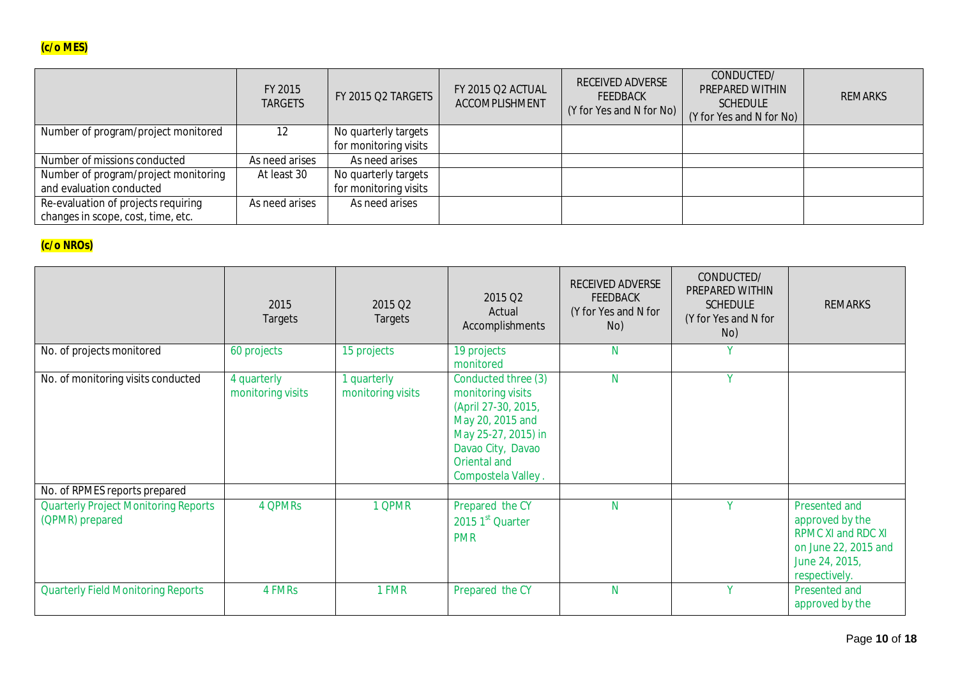|                                      | FY 2015<br><b>TARGETS</b> | FY 2015 Q2 TARGETS    | FY 2015 Q2 ACTUAL<br>ACCOMPLISHMENT | RECEIVED ADVERSE<br><b>FEEDBACK</b><br>(Y for Yes and N for No) | CONDUCTED/<br><b>PREPARED WITHIN</b><br><b>SCHEDULE</b><br>(Y for Yes and N for No) | <b>REMARKS</b> |
|--------------------------------------|---------------------------|-----------------------|-------------------------------------|-----------------------------------------------------------------|-------------------------------------------------------------------------------------|----------------|
| Number of program/project monitored  | 12                        | No quarterly targets  |                                     |                                                                 |                                                                                     |                |
|                                      |                           | for monitoring visits |                                     |                                                                 |                                                                                     |                |
| Number of missions conducted         | As need arises            | As need arises        |                                     |                                                                 |                                                                                     |                |
| Number of program/project monitoring | At least 30               | No quarterly targets  |                                     |                                                                 |                                                                                     |                |
| and evaluation conducted             |                           | for monitoring visits |                                     |                                                                 |                                                                                     |                |
| Re-evaluation of projects requiring  | As need arises            | As need arises        |                                     |                                                                 |                                                                                     |                |
| changes in scope, cost, time, etc.   |                           |                       |                                     |                                                                 |                                                                                     |                |

# **(c/o NROs)**

|                                                                | 2015<br>Targets                  | 2015 Q2<br>Targets                    | 2015 Q2<br>Actual<br>Accomplishments                                                                                                                                  | RECEIVED ADVERSE<br><b>FEEDBACK</b><br>(Y for Yes and N for<br>No) | CONDUCTED/<br>PREPARED WITHIN<br><b>SCHEDULE</b><br>(Y for Yes and N for<br>No) | <b>REMARKS</b>                                                                                                    |
|----------------------------------------------------------------|----------------------------------|---------------------------------------|-----------------------------------------------------------------------------------------------------------------------------------------------------------------------|--------------------------------------------------------------------|---------------------------------------------------------------------------------|-------------------------------------------------------------------------------------------------------------------|
| No. of projects monitored                                      | 60 projects                      | 15 projects                           | 19 projects<br>monitored                                                                                                                                              | N                                                                  | $\mathbf v$                                                                     |                                                                                                                   |
| No. of monitoring visits conducted                             | 4 quarterly<br>monitoring visits | <b>quarterly</b><br>monitoring visits | Conducted three (3)<br>monitoring visits<br>(April 27-30, 2015,<br>May 20, 2015 and<br>May 25-27, 2015) in<br>Davao City, Davao<br>Oriental and<br>Compostela Valley. | N                                                                  | $\mathbf{V}$                                                                    |                                                                                                                   |
| No. of RPMES reports prepared                                  |                                  |                                       |                                                                                                                                                                       |                                                                    |                                                                                 |                                                                                                                   |
| <b>Quarterly Project Monitoring Reports</b><br>(QPMR) prepared | 4 QPMRs                          | 1 QPMR                                | Prepared the CY<br>2015 1st Quarter<br><b>PMR</b>                                                                                                                     | N                                                                  | $\mathbf{v}$                                                                    | Presented and<br>approved by the<br>RPMC XI and RDC XI<br>on June 22, 2015 and<br>June 24, 2015,<br>respectively. |
| <b>Quarterly Field Monitoring Reports</b>                      | 4 FMRs                           | 1 FMR                                 | Prepared the CY                                                                                                                                                       | N                                                                  | $\mathbf{V}$                                                                    | Presented and<br>approved by the                                                                                  |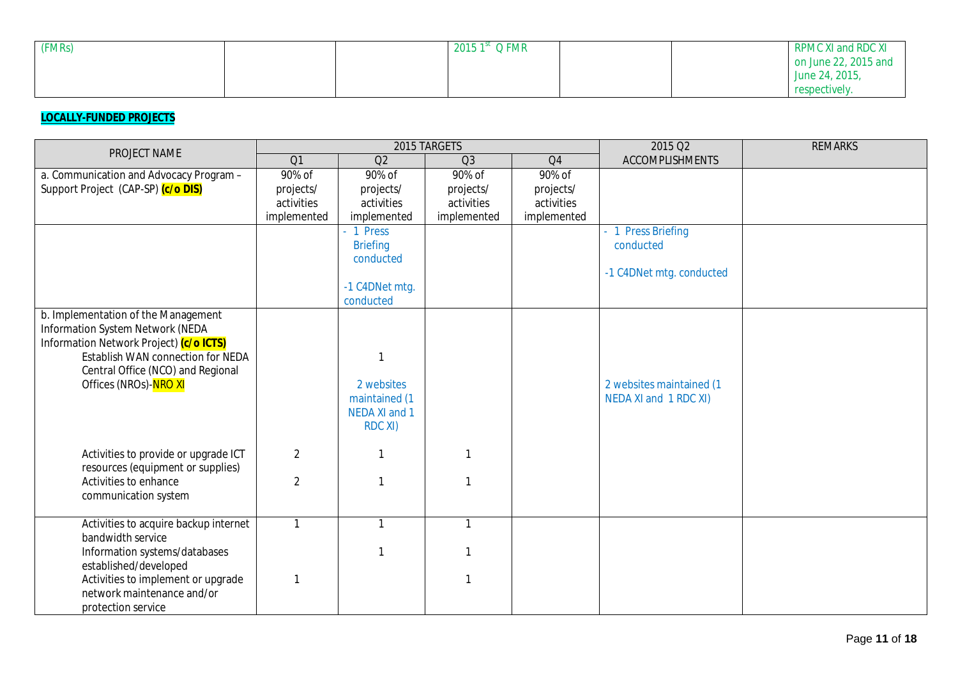| (FMRs) |  | 2015 $1^{\rm st}$ Q FMR |  | RPMC XI and RDC XI   |
|--------|--|-------------------------|--|----------------------|
|        |  |                         |  | on June 22, 2015 and |
|        |  |                         |  | June 24, 2015,       |
|        |  |                         |  | respectively.        |

## **LOCALLY-FUNDED PROJECTS**

| PROJECT NAME                                               |                |                 | 2015 TARGETS   |                | 2015 Q2                  | <b>REMARKS</b> |
|------------------------------------------------------------|----------------|-----------------|----------------|----------------|--------------------------|----------------|
|                                                            | Q1             | Q <sub>2</sub>  | Q <sub>3</sub> | Q <sub>4</sub> | <b>ACCOMPLISHMENTS</b>   |                |
| a. Communication and Advocacy Program -                    | 90% of         | 90% of          | 90% of         | 90% of         |                          |                |
| Support Project (CAP-SP) (c/o DIS)                         | projects/      | projects/       | projects/      | projects/      |                          |                |
|                                                            | activities     | activities      | activities     | activities     |                          |                |
|                                                            | implemented    | implemented     | implemented    | implemented    |                          |                |
|                                                            |                | - 1 Press       |                |                | 1 Press Briefing         |                |
|                                                            |                | <b>Briefing</b> |                |                | conducted                |                |
|                                                            |                | conducted       |                |                |                          |                |
|                                                            |                |                 |                |                | -1 C4DNet mtg. conducted |                |
|                                                            |                | -1 C4DNet mtg.  |                |                |                          |                |
|                                                            |                | conducted       |                |                |                          |                |
| b. Implementation of the Management                        |                |                 |                |                |                          |                |
| Information System Network (NEDA                           |                |                 |                |                |                          |                |
| Information Network Project) (c/o ICTS)                    |                |                 |                |                |                          |                |
| Establish WAN connection for NEDA                          |                |                 |                |                |                          |                |
| Central Office (NCO) and Regional<br>Offices (NROs)-NRO XI |                | 2 websites      |                |                | 2 websites maintained (1 |                |
|                                                            |                | maintained (1   |                |                | NEDA XI and 1 RDC XI)    |                |
|                                                            |                | NEDA XI and 1   |                |                |                          |                |
|                                                            |                | <b>RDC XI)</b>  |                |                |                          |                |
|                                                            |                |                 |                |                |                          |                |
| Activities to provide or upgrade ICT                       | $\overline{2}$ |                 |                |                |                          |                |
| resources (equipment or supplies)                          |                |                 |                |                |                          |                |
| Activities to enhance                                      | 2              |                 |                |                |                          |                |
| communication system                                       |                |                 |                |                |                          |                |
|                                                            |                |                 |                |                |                          |                |
| Activities to acquire backup internet                      | $\mathbf{1}$   | $\mathbf{1}$    | $\mathbf{1}$   |                |                          |                |
| bandwidth service                                          |                |                 |                |                |                          |                |
| Information systems/databases                              |                |                 |                |                |                          |                |
| established/developed                                      |                |                 |                |                |                          |                |
| Activities to implement or upgrade                         |                |                 |                |                |                          |                |
| network maintenance and/or                                 |                |                 |                |                |                          |                |
| protection service                                         |                |                 |                |                |                          |                |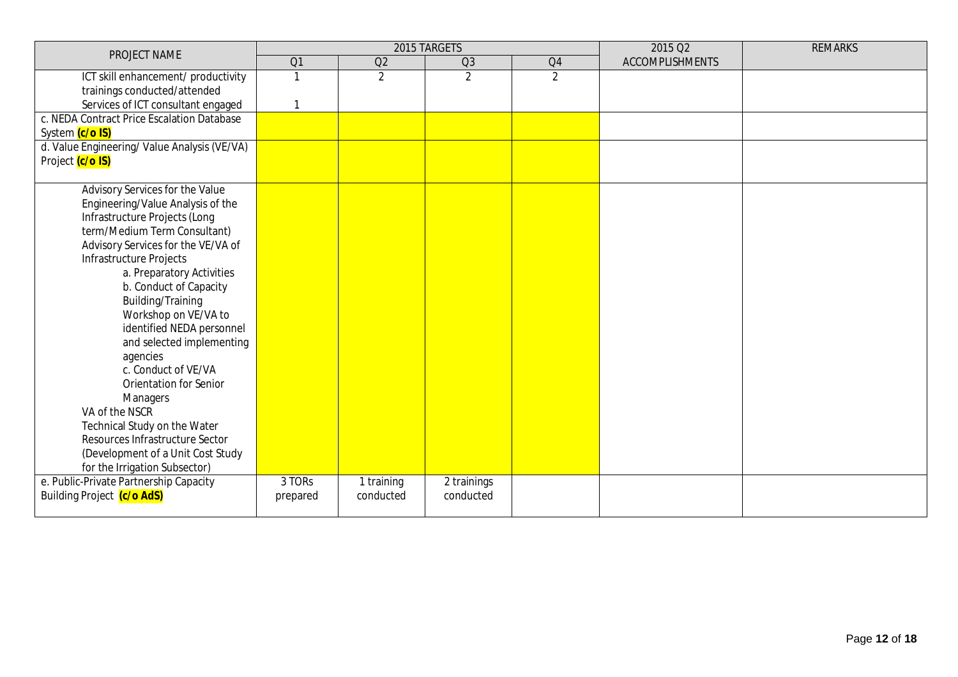| PROJECT NAME                                |          |                | 2015 TARGETS   |                | 2015 Q2                | <b>REMARKS</b> |
|---------------------------------------------|----------|----------------|----------------|----------------|------------------------|----------------|
|                                             | Q1       | Q2             | Q3             | Q4             | <b>ACCOMPLISHMENTS</b> |                |
| ICT skill enhancement/ productivity         |          | $\overline{2}$ | $\overline{2}$ | $\overline{2}$ |                        |                |
| trainings conducted/attended                |          |                |                |                |                        |                |
| Services of ICT consultant engaged          |          |                |                |                |                        |                |
| c. NEDA Contract Price Escalation Database  |          |                |                |                |                        |                |
| System (c/o IS)                             |          |                |                |                |                        |                |
| d. Value Engineering/Value Analysis (VE/VA) |          |                |                |                |                        |                |
| Project (c/o IS)                            |          |                |                |                |                        |                |
|                                             |          |                |                |                |                        |                |
| Advisory Services for the Value             |          |                |                |                |                        |                |
| Engineering/Value Analysis of the           |          |                |                |                |                        |                |
| Infrastructure Projects (Long               |          |                |                |                |                        |                |
| term/Medium Term Consultant)                |          |                |                |                |                        |                |
| Advisory Services for the VE/VA of          |          |                |                |                |                        |                |
| Infrastructure Projects                     |          |                |                |                |                        |                |
| a. Preparatory Activities                   |          |                |                |                |                        |                |
| b. Conduct of Capacity                      |          |                |                |                |                        |                |
| Building/Training                           |          |                |                |                |                        |                |
| Workshop on VE/VA to                        |          |                |                |                |                        |                |
| identified NEDA personnel                   |          |                |                |                |                        |                |
| and selected implementing<br>agencies       |          |                |                |                |                        |                |
| c. Conduct of VE/VA                         |          |                |                |                |                        |                |
| <b>Orientation for Senior</b>               |          |                |                |                |                        |                |
| <b>Managers</b>                             |          |                |                |                |                        |                |
| VA of the NSCR                              |          |                |                |                |                        |                |
| Technical Study on the Water                |          |                |                |                |                        |                |
| Resources Infrastructure Sector             |          |                |                |                |                        |                |
| (Development of a Unit Cost Study           |          |                |                |                |                        |                |
| for the Irrigation Subsector)               |          |                |                |                |                        |                |
| e. Public-Private Partnership Capacity      | 3 TORs   | 1 training     | 2 trainings    |                |                        |                |
| Building Project (c/o AdS)                  | prepared | conducted      | conducted      |                |                        |                |
|                                             |          |                |                |                |                        |                |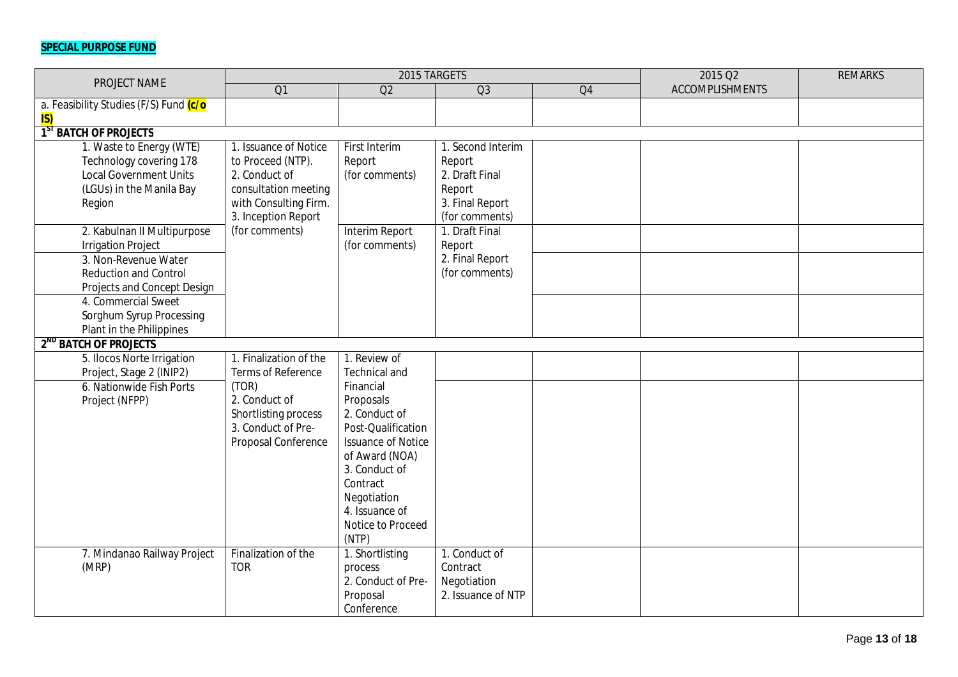# **SPECIAL PURPOSE FUND**

| PROJECT NAME                                         |                                            | 2015 TARGETS               |                    |                | 2015 Q2                | <b>REMARKS</b> |
|------------------------------------------------------|--------------------------------------------|----------------------------|--------------------|----------------|------------------------|----------------|
|                                                      | $\overline{O1}$                            | Q2                         | Q <sub>3</sub>     | Q <sub>4</sub> | <b>ACCOMPLISHMENTS</b> |                |
| a. Feasibility Studies (F/S) Fund (c/o               |                                            |                            |                    |                |                        |                |
| IS)                                                  |                                            |                            |                    |                |                        |                |
| $\overline{1}^{5}$<br><sup>T</sup> BATCH OF PROJECTS |                                            |                            |                    |                |                        |                |
| 1. Waste to Energy (WTE)                             | 1. Issuance of Notice                      | First Interim              | 1. Second Interim  |                |                        |                |
| Technology covering 178                              | to Proceed (NTP).                          | Report                     | Report             |                |                        |                |
| <b>Local Government Units</b>                        | 2. Conduct of                              | (for comments)             | 2. Draft Final     |                |                        |                |
| (LGUs) in the Manila Bay                             | consultation meeting                       |                            | Report             |                |                        |                |
| Region                                               | with Consulting Firm.                      |                            | 3. Final Report    |                |                        |                |
|                                                      | 3. Inception Report                        |                            | (for comments)     |                |                        |                |
| 2. Kabulnan II Multipurpose                          | (for comments)                             | Interim Report             | 1. Draft Final     |                |                        |                |
| <b>Irrigation Project</b>                            |                                            | (for comments)             | Report             |                |                        |                |
| 3. Non-Revenue Water                                 |                                            |                            | 2. Final Report    |                |                        |                |
| <b>Reduction and Control</b>                         |                                            |                            | (for comments)     |                |                        |                |
| Projects and Concept Design                          |                                            |                            |                    |                |                        |                |
| 4. Commercial Sweet                                  |                                            |                            |                    |                |                        |                |
| Sorghum Syrup Processing                             |                                            |                            |                    |                |                        |                |
| Plant in the Philippines                             |                                            |                            |                    |                |                        |                |
| 2 <sup>ND</sup> BATCH OF PROJECTS                    |                                            |                            |                    |                |                        |                |
| 5. Ilocos Norte Irrigation                           | 1. Finalization of the                     | 1. Review of               |                    |                |                        |                |
| Project, Stage 2 (INIP2)                             | Terms of Reference                         | <b>Technical and</b>       |                    |                |                        |                |
| 6. Nationwide Fish Ports                             | (TOR)<br>2. Conduct of                     | Financial                  |                    |                |                        |                |
| Project (NFPP)                                       |                                            | Proposals<br>2. Conduct of |                    |                |                        |                |
|                                                      | Shortlisting process<br>3. Conduct of Pre- | Post-Qualification         |                    |                |                        |                |
|                                                      | Proposal Conference                        | <b>Issuance of Notice</b>  |                    |                |                        |                |
|                                                      |                                            | of Award (NOA)             |                    |                |                        |                |
|                                                      |                                            | 3. Conduct of              |                    |                |                        |                |
|                                                      |                                            | Contract                   |                    |                |                        |                |
|                                                      |                                            | Negotiation                |                    |                |                        |                |
|                                                      |                                            | 4. Issuance of             |                    |                |                        |                |
|                                                      |                                            | Notice to Proceed          |                    |                |                        |                |
|                                                      |                                            | (NTP)                      |                    |                |                        |                |
| 7. Mindanao Railway Project                          | Finalization of the                        | 1. Shortlisting            | 1. Conduct of      |                |                        |                |
| (MRP)                                                | <b>TOR</b>                                 | process                    | Contract           |                |                        |                |
|                                                      |                                            | 2. Conduct of Pre-         | Negotiation        |                |                        |                |
|                                                      |                                            | Proposal                   | 2. Issuance of NTP |                |                        |                |
|                                                      |                                            | Conference                 |                    |                |                        |                |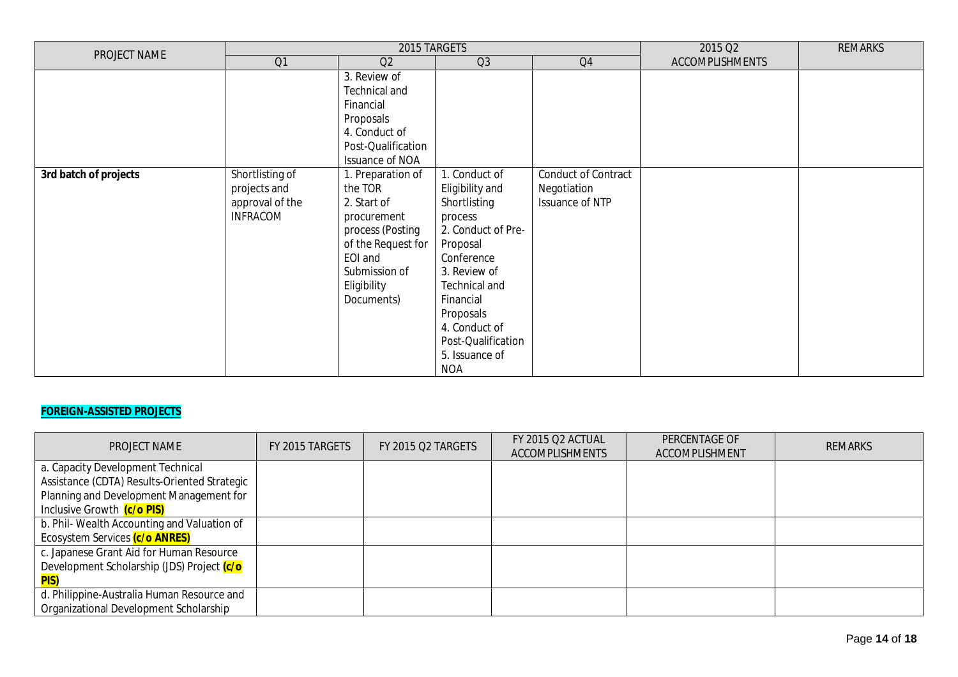| PROJECT NAME          |                                    | 2015 TARGETS                                                                                                                                             | 2015 Q2                                                                                                                                                                                                   | <b>REMARKS</b>                     |                        |  |
|-----------------------|------------------------------------|----------------------------------------------------------------------------------------------------------------------------------------------------------|-----------------------------------------------------------------------------------------------------------------------------------------------------------------------------------------------------------|------------------------------------|------------------------|--|
|                       | Q1                                 | Q2                                                                                                                                                       | Q3                                                                                                                                                                                                        | Q4                                 | <b>ACCOMPLISHMENTS</b> |  |
| 3rd batch of projects | Shortlisting of<br>projects and    | 3. Review of<br>Technical and<br>Financial<br>Proposals<br>4. Conduct of<br>Post-Qualification<br><b>Issuance of NOA</b><br>1. Preparation of<br>the TOR | I. Conduct of<br>Eligibility and                                                                                                                                                                          | Conduct of Contract<br>Negotiation |                        |  |
|                       | approval of the<br><b>INFRACOM</b> | 2. Start of<br>procurement<br>process (Posting<br>of the Request for<br>EOI and<br>Submission of<br>Eligibility<br>Documents)                            | Shortlisting<br>process<br>2. Conduct of Pre-<br>Proposal<br>Conference<br>3. Review of<br>Technical and<br>Financial<br>Proposals<br>4. Conduct of<br>Post-Qualification<br>5. Issuance of<br><b>NOA</b> | Issuance of NTP                    |                        |  |

## **FOREIGN-ASSISTED PROJECTS**

| <b>PROJECT NAME</b>                          | FY 2015 TARGETS | FY 2015 O2 TARGETS | FY 2015 O2 ACTUAL<br><b>ACCOMPLISHMENTS</b> | PERCENTAGE OF<br>ACCOMPLISHMENT | <b>REMARKS</b> |
|----------------------------------------------|-----------------|--------------------|---------------------------------------------|---------------------------------|----------------|
| a. Capacity Development Technical            |                 |                    |                                             |                                 |                |
| Assistance (CDTA) Results-Oriented Strategic |                 |                    |                                             |                                 |                |
| Planning and Development Management for      |                 |                    |                                             |                                 |                |
| Inclusive Growth (c/o PIS)                   |                 |                    |                                             |                                 |                |
| b. Phil- Wealth Accounting and Valuation of  |                 |                    |                                             |                                 |                |
| Ecosystem Services (c/o ANRES)               |                 |                    |                                             |                                 |                |
| c. Japanese Grant Aid for Human Resource     |                 |                    |                                             |                                 |                |
| Development Scholarship (JDS) Project (c/o   |                 |                    |                                             |                                 |                |
| <b>PIS)</b>                                  |                 |                    |                                             |                                 |                |
| d. Philippine-Australia Human Resource and   |                 |                    |                                             |                                 |                |
| Organizational Development Scholarship       |                 |                    |                                             |                                 |                |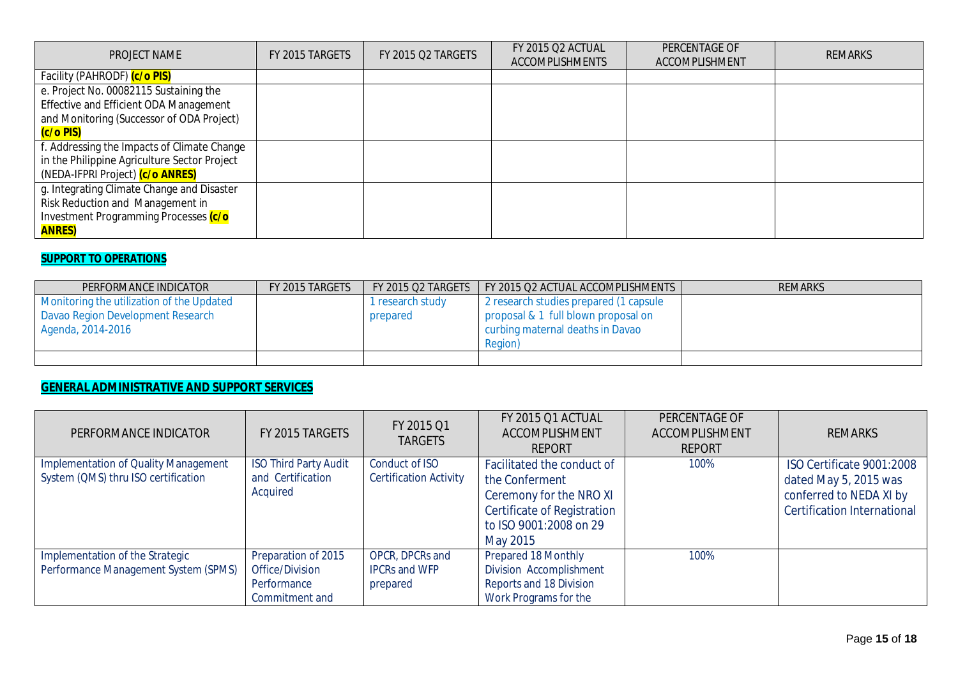| PROJECT NAME                                 | FY 2015 TARGETS | FY 2015 Q2 TARGETS | <b>FY 2015 Q2 ACTUAL</b><br><b>ACCOMPLISHMENTS</b> | PERCENTAGE OF<br><b>ACCOMPLISHMENT</b> | <b>REMARKS</b> |
|----------------------------------------------|-----------------|--------------------|----------------------------------------------------|----------------------------------------|----------------|
| Facility (PAHRODF) (c/o PIS)                 |                 |                    |                                                    |                                        |                |
| e. Project No. 00082115 Sustaining the       |                 |                    |                                                    |                                        |                |
| Effective and Efficient ODA Management       |                 |                    |                                                    |                                        |                |
| and Monitoring (Successor of ODA Project)    |                 |                    |                                                    |                                        |                |
| (c/o PIS)                                    |                 |                    |                                                    |                                        |                |
| f. Addressing the Impacts of Climate Change  |                 |                    |                                                    |                                        |                |
| in the Philippine Agriculture Sector Project |                 |                    |                                                    |                                        |                |
| (NEDA-IFPRI Project) (c/o ANRES)             |                 |                    |                                                    |                                        |                |
| g. Integrating Climate Change and Disaster   |                 |                    |                                                    |                                        |                |
| Risk Reduction and Management in             |                 |                    |                                                    |                                        |                |
| Investment Programming Processes (c/o        |                 |                    |                                                    |                                        |                |
| <b>ANRES)</b>                                |                 |                    |                                                    |                                        |                |

## **SUPPORT TO OPERATIONS**

| PERFORMANCE INDICATOR                     | FY 2015 TARGETS | FY 2015 Q2 TARGETS | FY 2015 Q2 ACTUAL ACCOMPLISHMENTS      | <b>REMARKS</b> |
|-------------------------------------------|-----------------|--------------------|----------------------------------------|----------------|
| Monitoring the utilization of the Updated |                 | 1 research study   | 2 research studies prepared (1 capsule |                |
| Davao Region Development Research         |                 | prepared           | proposal & 1 full blown proposal on    |                |
| Agenda, 2014-2016                         |                 |                    | curbing maternal deaths in Davao       |                |
|                                           |                 |                    | Region)                                |                |
|                                           |                 |                    |                                        |                |

# **GENERAL ADMINISTRATIVE AND SUPPORT SERVICES**

| PERFORMANCE INDICATOR                                                              | FY 2015 TARGETS                                                         | FY 2015 Q1<br><b>TARGETS</b>                        | FY 2015 Q1 ACTUAL<br>ACCOMPLISHMENT<br><b>REPORT</b>                                                                                                | PERCENTAGE OF<br>ACCOMPLISHMENT<br><b>REPORT</b> | <b>REMARKS</b>                                                                                                      |
|------------------------------------------------------------------------------------|-------------------------------------------------------------------------|-----------------------------------------------------|-----------------------------------------------------------------------------------------------------------------------------------------------------|--------------------------------------------------|---------------------------------------------------------------------------------------------------------------------|
| <b>Implementation of Quality Management</b><br>System (QMS) thru ISO certification | <b>ISO Third Party Audit</b><br>and Certification<br>Acquired           | Conduct of ISO<br><b>Certification Activity</b>     | Facilitated the conduct of<br>the Conferment<br>Ceremony for the NRO XI<br><b>Certificate of Registration</b><br>to ISO 9001:2008 on 29<br>May 2015 | 100%                                             | ISO Certificate 9001:2008<br>dated May 5, 2015 was<br>conferred to NEDA XI by<br><b>Certification International</b> |
| Implementation of the Strategic<br>Performance Management System (SPMS)            | Preparation of 2015<br>Office/Division<br>Performance<br>Commitment and | OPCR, DPCRs and<br><b>IPCRs and WFP</b><br>prepared | <b>Prepared 18 Monthly</b><br><b>Division Accomplishment</b><br>Reports and 18 Division<br>Work Programs for the                                    | 100%                                             |                                                                                                                     |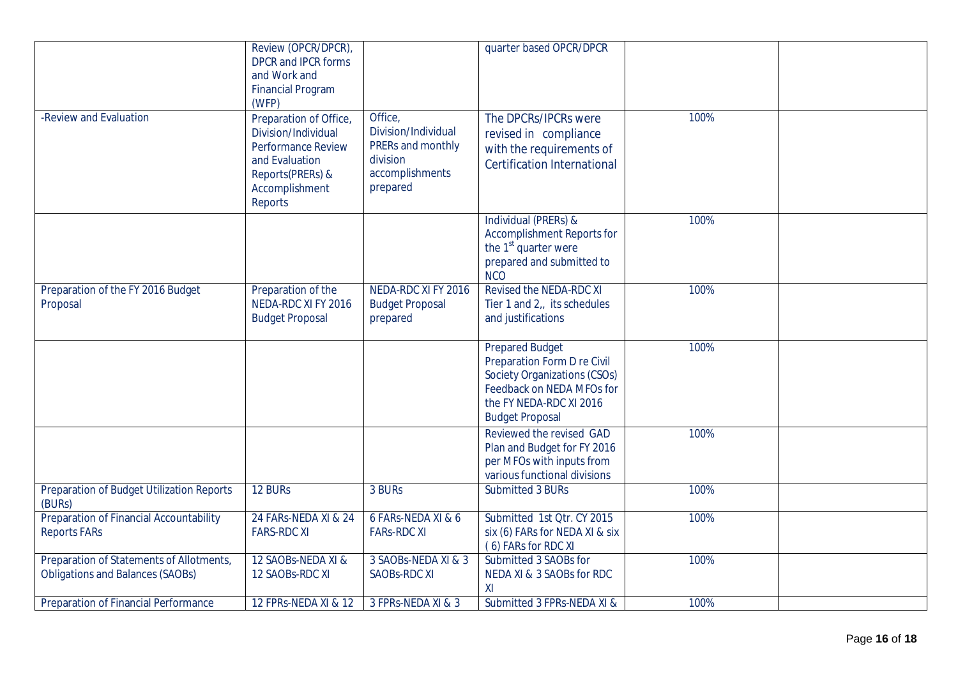|                                                                                     | Review (OPCR/DPCR),<br><b>DPCR and IPCR forms</b><br>and Work and<br><b>Financial Program</b><br>(WFP)                                        |                                                                                                | quarter based OPCR/DPCR                                                                                                                                                 |      |  |
|-------------------------------------------------------------------------------------|-----------------------------------------------------------------------------------------------------------------------------------------------|------------------------------------------------------------------------------------------------|-------------------------------------------------------------------------------------------------------------------------------------------------------------------------|------|--|
| -Review and Evaluation                                                              | Preparation of Office,<br>Division/Individual<br><b>Performance Review</b><br>and Evaluation<br>Reports(PRERs) &<br>Accomplishment<br>Reports | Office,<br>Division/Individual<br>PRERs and monthly<br>division<br>accomplishments<br>prepared | The DPCRs/IPCRs were<br>revised in compliance<br>with the requirements of<br><b>Certification International</b>                                                         | 100% |  |
|                                                                                     |                                                                                                                                               |                                                                                                | Individual (PRERs) &<br><b>Accomplishment Reports for</b><br>the 1 <sup>st</sup> quarter were<br>prepared and submitted to<br><b>NCO</b>                                | 100% |  |
| Preparation of the FY 2016 Budget<br>Proposal                                       | Preparation of the<br>NEDA-RDC XI FY 2016<br><b>Budget Proposal</b>                                                                           | NEDA-RDC XI FY 2016<br><b>Budget Proposal</b><br>prepared                                      | Revised the NEDA-RDC XI<br>Tier 1 and $2_{11}$ its schedules<br>and justifications                                                                                      | 100% |  |
|                                                                                     |                                                                                                                                               |                                                                                                | <b>Prepared Budget</b><br>Preparation Form D re Civil<br>Society Organizations (CSOs)<br>Feedback on NEDA MFOs for<br>the FY NEDA-RDC XI 2016<br><b>Budget Proposal</b> | 100% |  |
|                                                                                     |                                                                                                                                               |                                                                                                | Reviewed the revised GAD<br>Plan and Budget for FY 2016<br>per MFOs with inputs from<br>various functional divisions                                                    | 100% |  |
| Preparation of Budget Utilization Reports<br>(BURs)                                 | 12 BURs                                                                                                                                       | 3 BURs                                                                                         | Submitted 3 BURs                                                                                                                                                        | 100% |  |
| Preparation of Financial Accountability<br><b>Reports FARs</b>                      | 24 FARs-NEDA XI & 24<br><b>FARS-RDC XI</b>                                                                                                    | 6 FARs-NEDA XI & 6<br><b>FARS-RDC XI</b>                                                       | Submitted 1st Qtr. CY 2015<br>six (6) FARs for NEDA XI & six<br>(6) FARs for RDC XI                                                                                     | 100% |  |
| Preparation of Statements of Allotments,<br><b>Obligations and Balances (SAOBs)</b> | 12 SAOBs-NEDA XI &<br>12 SAOBs-RDC XI                                                                                                         | 3 SAOBS-NEDA XI & 3<br><b>SAOBS-RDC XI</b>                                                     | Submitted 3 SAOBs for<br>NEDA XI & 3 SAOBs for RDC<br>XI                                                                                                                | 100% |  |
| Preparation of Financial Performance                                                | 12 FPRs-NEDA XI & 12                                                                                                                          | 3 FPRs-NEDA XI & 3                                                                             | Submitted 3 FPRs-NEDA XI &                                                                                                                                              | 100% |  |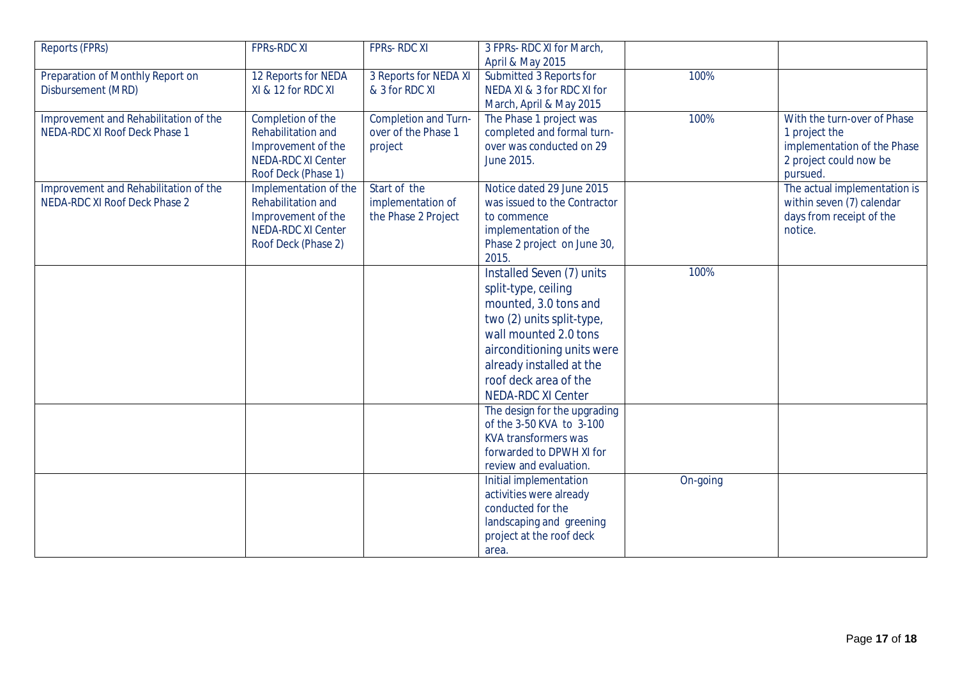| Reports (FPRs)                        | <b>FPRS-RDC XI</b>        | FPRS-RDC XI                 | 3 FPRs- RDC XI for March,    |          |                              |
|---------------------------------------|---------------------------|-----------------------------|------------------------------|----------|------------------------------|
|                                       |                           |                             | April & May 2015             |          |                              |
| Preparation of Monthly Report on      | 12 Reports for NEDA       | 3 Reports for NEDA XI       | Submitted 3 Reports for      | 100%     |                              |
| Disbursement (MRD)                    | XI & 12 for RDC XI        | & 3 for RDC XI              | NEDA XI & 3 for RDC XI for   |          |                              |
|                                       |                           |                             | March, April & May 2015      |          |                              |
| Improvement and Rehabilitation of the | Completion of the         | <b>Completion and Turn-</b> | The Phase 1 project was      | 100%     | With the turn-over of Phase  |
| NEDA-RDC XI Roof Deck Phase 1         | Rehabilitation and        | over of the Phase 1         | completed and formal turn-   |          | 1 project the                |
|                                       | Improvement of the        | project                     | over was conducted on 29     |          | implementation of the Phase  |
|                                       | <b>NEDA-RDC XI Center</b> |                             | June 2015.                   |          | 2 project could now be       |
|                                       | Roof Deck (Phase 1)       |                             |                              |          | pursued.                     |
| Improvement and Rehabilitation of the | Implementation of the     | Start of the                | Notice dated 29 June 2015    |          | The actual implementation is |
| NEDA-RDC XI Roof Deck Phase 2         | Rehabilitation and        | implementation of           | was issued to the Contractor |          | within seven (7) calendar    |
|                                       | Improvement of the        | the Phase 2 Project         | to commence                  |          | days from receipt of the     |
|                                       | <b>NEDA-RDC XI Center</b> |                             | implementation of the        |          | notice.                      |
|                                       | Roof Deck (Phase 2)       |                             | Phase 2 project on June 30,  |          |                              |
|                                       |                           |                             | 2015.                        |          |                              |
|                                       |                           |                             | Installed Seven (7) units    | 100%     |                              |
|                                       |                           |                             | split-type, ceiling          |          |                              |
|                                       |                           |                             | mounted, 3.0 tons and        |          |                              |
|                                       |                           |                             | two (2) units split-type,    |          |                              |
|                                       |                           |                             | wall mounted 2.0 tons        |          |                              |
|                                       |                           |                             | airconditioning units were   |          |                              |
|                                       |                           |                             | already installed at the     |          |                              |
|                                       |                           |                             | roof deck area of the        |          |                              |
|                                       |                           |                             | <b>NEDA-RDC XI Center</b>    |          |                              |
|                                       |                           |                             | The design for the upgrading |          |                              |
|                                       |                           |                             | of the 3-50 KVA to 3-100     |          |                              |
|                                       |                           |                             | <b>KVA transformers was</b>  |          |                              |
|                                       |                           |                             | forwarded to DPWH XI for     |          |                              |
|                                       |                           |                             | review and evaluation.       |          |                              |
|                                       |                           |                             | Initial implementation       | On-going |                              |
|                                       |                           |                             | activities were already      |          |                              |
|                                       |                           |                             | conducted for the            |          |                              |
|                                       |                           |                             | landscaping and greening     |          |                              |
|                                       |                           |                             | project at the roof deck     |          |                              |
|                                       |                           |                             | area.                        |          |                              |